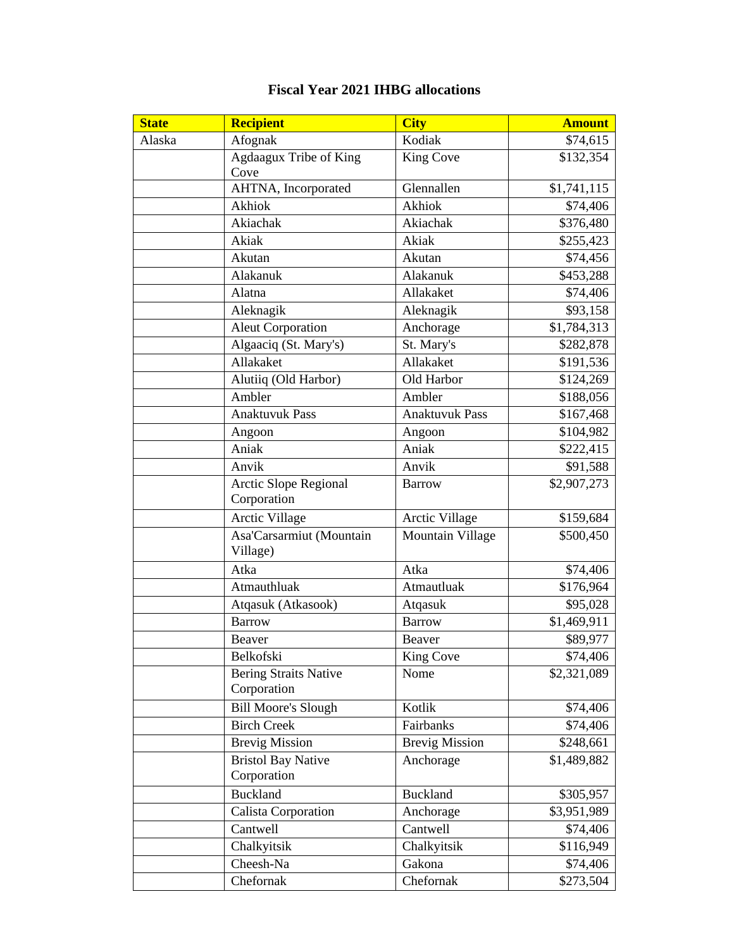## **Fiscal Year 2021 IHBG allocations**

| <b>State</b> | <b>Recipient</b>                            | <b>City</b>           | <b>Amount</b> |
|--------------|---------------------------------------------|-----------------------|---------------|
| Alaska       | Afognak                                     | Kodiak                | \$74,615      |
|              | Agdaagux Tribe of King<br>Cove              | <b>King Cove</b>      | \$132,354     |
|              | AHTNA, Incorporated                         | Glennallen            | \$1,741,115   |
|              | Akhiok                                      | Akhiok                | \$74,406      |
|              | Akiachak                                    | Akiachak              | \$376,480     |
|              | Akiak                                       | Akiak                 | \$255,423     |
|              | Akutan                                      | Akutan                | \$74,456      |
|              | Alakanuk                                    | Alakanuk              | \$453,288     |
|              | Alatna                                      | Allakaket             | \$74,406      |
|              | Aleknagik                                   | Aleknagik             | \$93,158      |
|              | <b>Aleut Corporation</b>                    | Anchorage             | \$1,784,313   |
|              | Algaaciq (St. Mary's)                       | St. Mary's            | \$282,878     |
|              | Allakaket                                   | Allakaket             | \$191,536     |
|              | Alutiiq (Old Harbor)                        | Old Harbor            | \$124,269     |
|              | Ambler                                      | Ambler                | \$188,056     |
|              | <b>Anaktuvuk Pass</b>                       | <b>Anaktuvuk Pass</b> | \$167,468     |
|              | Angoon                                      | Angoon                | \$104,982     |
|              | Aniak                                       | Aniak                 | \$222,415     |
|              | Anvik                                       | Anvik                 | \$91,588      |
|              | <b>Arctic Slope Regional</b><br>Corporation | <b>Barrow</b>         | \$2,907,273   |
|              | Arctic Village                              | Arctic Village        | \$159,684     |
|              | Asa'Carsarmiut (Mountain<br>Village)        | Mountain Village      | \$500,450     |
|              | Atka                                        | Atka                  | \$74,406      |
|              | Atmauthluak                                 | Atmautluak            | \$176,964     |
|              | Atqasuk (Atkasook)                          | Atqasuk               | \$95,028      |
|              | <b>Barrow</b>                               | <b>Barrow</b>         | \$1,469,911   |
|              | Beaver                                      | Beaver                | \$89,977      |
|              | Belkofski                                   | King Cove             | \$74,406      |
|              | <b>Bering Straits Native</b><br>Corporation | Nome                  | \$2,321,089   |
|              | <b>Bill Moore's Slough</b>                  | Kotlik                | \$74,406      |
|              | <b>Birch Creek</b>                          | Fairbanks             | \$74,406      |
|              | <b>Brevig Mission</b>                       | <b>Brevig Mission</b> | \$248,661     |
|              | <b>Bristol Bay Native</b><br>Corporation    | Anchorage             | \$1,489,882   |
|              | <b>Buckland</b>                             | <b>Buckland</b>       | \$305,957     |
|              | Calista Corporation                         | Anchorage             | \$3,951,989   |
|              | Cantwell                                    | Cantwell              | \$74,406      |
|              | Chalkyitsik                                 | Chalkyitsik           | \$116,949     |
|              | Cheesh-Na                                   | Gakona                | \$74,406      |
|              | Chefornak                                   | Chefornak             | \$273,504     |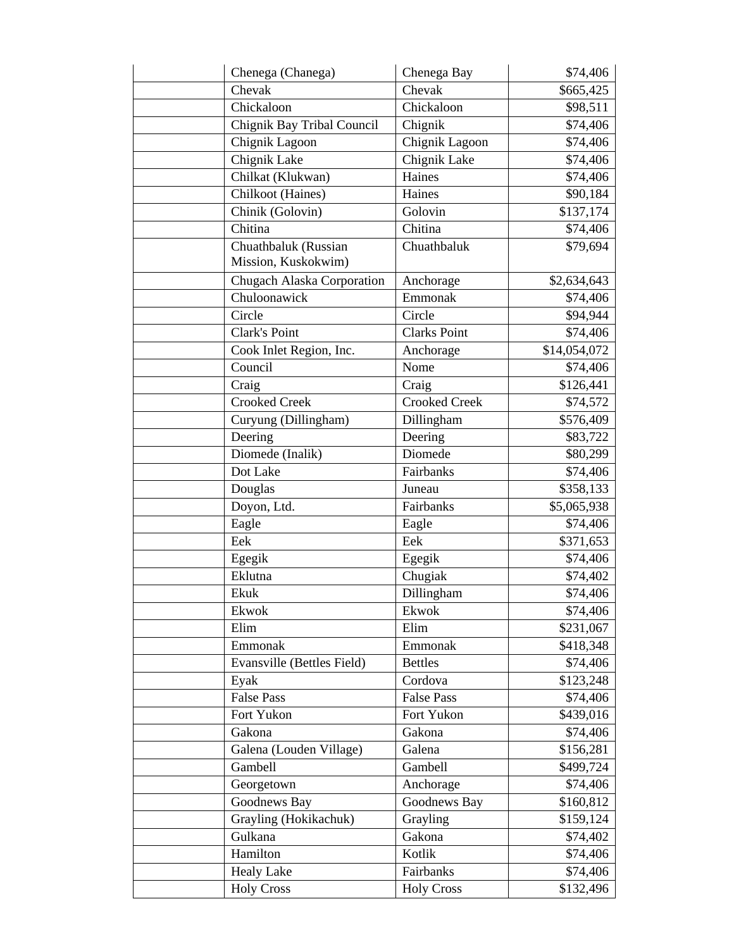| Chenega (Chanega)                           | Chenega Bay          | \$74,406     |
|---------------------------------------------|----------------------|--------------|
| Chevak                                      | Chevak               | \$665,425    |
| Chickaloon                                  | Chickaloon           | \$98,511     |
| Chignik Bay Tribal Council                  | Chignik              | \$74,406     |
| Chignik Lagoon                              | Chignik Lagoon       | \$74,406     |
| Chignik Lake                                | Chignik Lake         | \$74,406     |
| Chilkat (Klukwan)                           | Haines               | \$74,406     |
| Chilkoot (Haines)                           | Haines               | \$90,184     |
| Chinik (Golovin)                            | Golovin              | \$137,174    |
| Chitina                                     | Chitina              | \$74,406     |
| Chuathbaluk (Russian<br>Mission, Kuskokwim) | Chuathbaluk          | \$79,694     |
| Chugach Alaska Corporation                  | Anchorage            | \$2,634,643  |
| Chuloonawick                                | Emmonak              | \$74,406     |
| Circle                                      | Circle               | \$94,944     |
| Clark's Point                               | <b>Clarks Point</b>  | \$74,406     |
| Cook Inlet Region, Inc.                     | Anchorage            | \$14,054,072 |
| Council                                     | Nome                 | \$74,406     |
| Craig                                       | Craig                | \$126,441    |
| <b>Crooked Creek</b>                        | <b>Crooked Creek</b> | \$74,572     |
| Curyung (Dillingham)                        | Dillingham           | \$576,409    |
| Deering                                     | Deering              | \$83,722     |
| Diomede (Inalik)                            | Diomede              | \$80,299     |
| Dot Lake                                    | Fairbanks            | \$74,406     |
| Douglas                                     | Juneau               | \$358,133    |
| Doyon, Ltd.                                 | Fairbanks            | \$5,065,938  |
| Eagle                                       | Eagle                | \$74,406     |
| Eek                                         | Eek                  | \$371,653    |
| Egegik                                      | Egegik               | \$74,406     |
| Eklutna                                     | Chugiak              | \$74,402     |
| Ekuk                                        | Dillingham           | \$74,406     |
| Ekwok                                       | Ekwok                | \$74,406     |
| Elim                                        | Elim                 | \$231,067    |
| Emmonak                                     | Emmonak              | \$418,348    |
| Evansville (Bettles Field)                  | <b>Bettles</b>       | \$74,406     |
| Eyak                                        | Cordova              | \$123,248    |
| <b>False Pass</b>                           | <b>False Pass</b>    | \$74,406     |
| Fort Yukon                                  | Fort Yukon           | \$439,016    |
| Gakona                                      | Gakona               | \$74,406     |
| Galena (Louden Village)                     | Galena               | \$156,281    |
| Gambell                                     | Gambell              | \$499,724    |
| Georgetown                                  | Anchorage            | \$74,406     |
| Goodnews Bay                                | Goodnews Bay         | \$160,812    |
| Grayling (Hokikachuk)                       | Grayling             | \$159,124    |
| Gulkana                                     | Gakona               | \$74,402     |
| Hamilton                                    | Kotlik               | \$74,406     |
| <b>Healy Lake</b>                           | Fairbanks            | \$74,406     |
| <b>Holy Cross</b>                           | <b>Holy Cross</b>    | \$132,496    |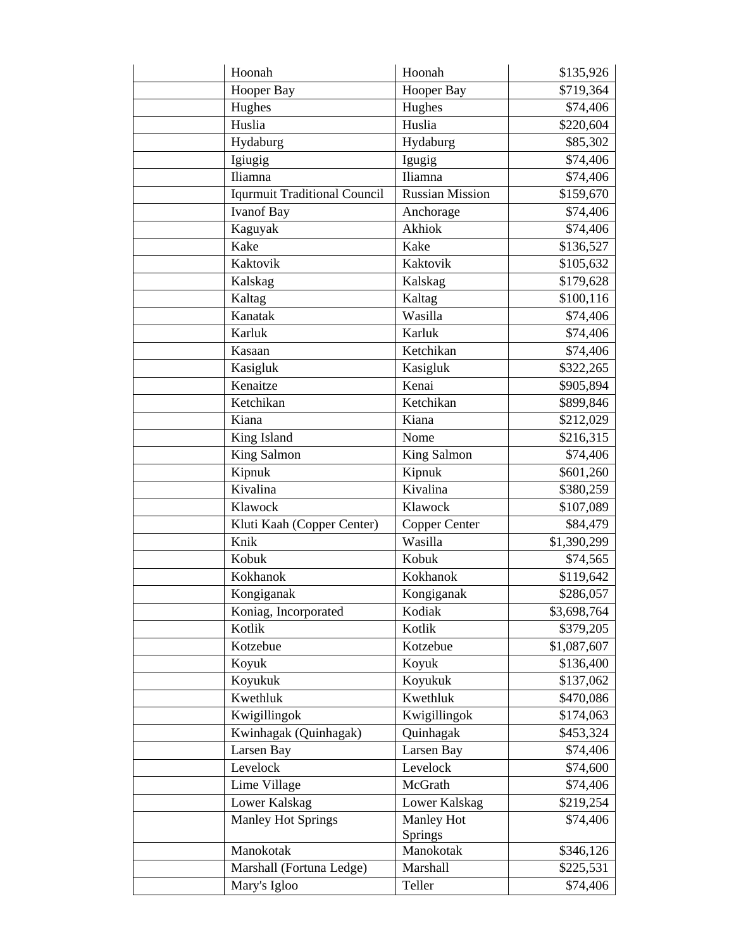| Hoonah                              | Hoonah             | \$135,926   |
|-------------------------------------|--------------------|-------------|
| Hooper Bay                          | Hooper Bay         | \$719,364   |
| Hughes                              | Hughes             | \$74,406    |
| Huslia                              | Huslia             | \$220,604   |
| Hydaburg                            | Hydaburg           | \$85,302    |
| Igiugig                             | Igugig             | \$74,406    |
| Iliamna                             | Iliamna            | \$74,406    |
| <b>Iqurmuit Traditional Council</b> | Russian Mission    | \$159,670   |
| <b>Ivanof Bay</b>                   | Anchorage          | \$74,406    |
| Kaguyak                             | Akhiok             | \$74,406    |
| Kake                                | Kake               | \$136,527   |
| Kaktovik                            | Kaktovik           | \$105,632   |
| Kalskag                             | Kalskag            | \$179,628   |
| Kaltag                              | Kaltag             | \$100,116   |
| Kanatak                             | Wasilla            | \$74,406    |
| Karluk                              | Karluk             | \$74,406    |
| Kasaan                              | Ketchikan          | \$74,406    |
| Kasigluk                            | Kasigluk           | \$322,265   |
| Kenaitze                            | Kenai              | \$905,894   |
| Ketchikan                           | Ketchikan          | \$899,846   |
| Kiana                               | Kiana              | \$212,029   |
| King Island                         | Nome               | \$216,315   |
| <b>King Salmon</b>                  | <b>King Salmon</b> | \$74,406    |
| Kipnuk                              | Kipnuk             | \$601,260   |
| Kivalina                            | Kivalina           | \$380,259   |
| Klawock                             | Klawock            | \$107,089   |
| Kluti Kaah (Copper Center)          | Copper Center      | \$84,479    |
| Knik                                | Wasilla            | \$1,390,299 |
| Kobuk                               | Kobuk              | \$74,565    |
| Kokhanok                            | Kokhanok           | \$119,642   |
| Kongiganak                          | Kongiganak         | \$286,057   |
| Koniag, Incorporated                | Kodiak             | \$3,698,764 |
| Kotlik                              | Kotlik             | \$379,205   |
| Kotzebue                            | Kotzebue           | \$1,087,607 |
| Koyuk                               | Koyuk              | \$136,400   |
| Koyukuk                             | Koyukuk            | \$137,062   |
| Kwethluk                            | Kwethluk           | \$470,086   |
| Kwigillingok                        | Kwigillingok       | \$174,063   |
| Kwinhagak (Quinhagak)               | Quinhagak          | \$453,324   |
| Larsen Bay                          | Larsen Bay         | \$74,406    |
| Levelock                            | Levelock           | \$74,600    |
| Lime Village                        | McGrath            | \$74,406    |
| Lower Kalskag                       | Lower Kalskag      | \$219,254   |
| <b>Manley Hot Springs</b>           | Manley Hot         | \$74,406    |
|                                     | Springs            |             |
| Manokotak                           | Manokotak          | \$346,126   |
| Marshall (Fortuna Ledge)            | Marshall           | \$225,531   |
| Mary's Igloo                        | Teller             | \$74,406    |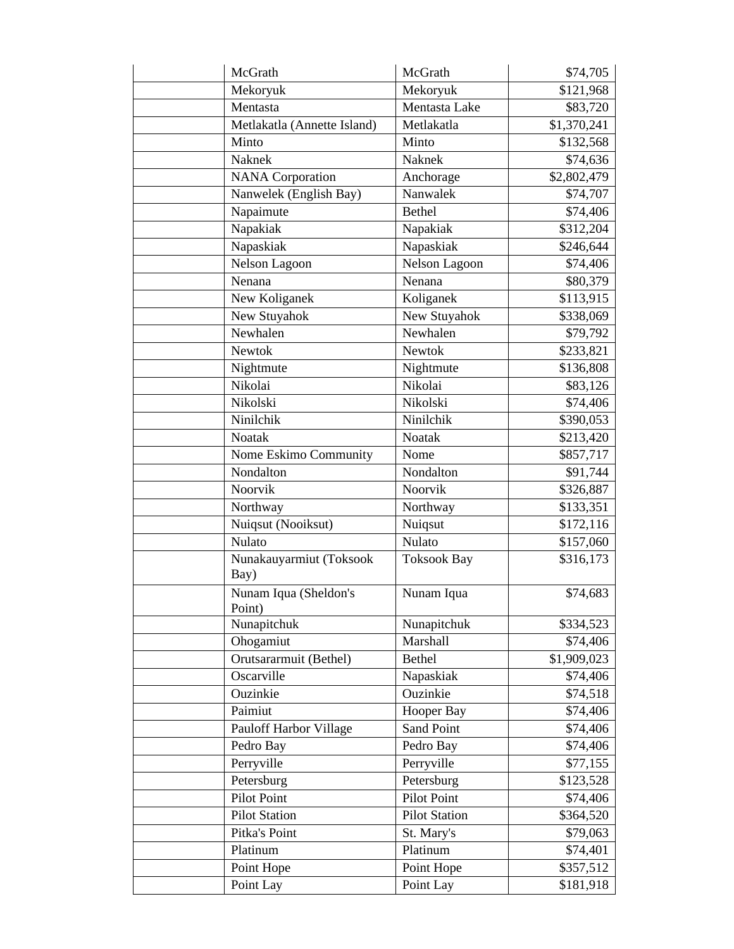| McGrath                         | McGrath              | \$74,705    |
|---------------------------------|----------------------|-------------|
| Mekoryuk                        | Mekoryuk             | \$121,968   |
| Mentasta                        | Mentasta Lake        | \$83,720    |
| Metlakatla (Annette Island)     | Metlakatla           | \$1,370,241 |
| Minto                           | Minto                | \$132,568   |
| Naknek                          | <b>Naknek</b>        | \$74,636    |
| <b>NANA</b> Corporation         | Anchorage            | \$2,802,479 |
| Nanwelek (English Bay)          | Nanwalek             | \$74,707    |
| Napaimute                       | <b>Bethel</b>        | \$74,406    |
| Napakiak                        | Napakiak             | \$312,204   |
| Napaskiak                       | Napaskiak            | \$246,644   |
| Nelson Lagoon                   | Nelson Lagoon        | \$74,406    |
| Nenana                          | Nenana               | \$80,379    |
| New Koliganek                   | Koliganek            | \$113,915   |
| New Stuyahok                    | New Stuyahok         | \$338,069   |
| Newhalen                        | Newhalen             | \$79,792    |
| <b>Newtok</b>                   | Newtok               | \$233,821   |
| Nightmute                       | Nightmute            | \$136,808   |
| Nikolai                         | Nikolai              | \$83,126    |
| Nikolski                        | Nikolski             | \$74,406    |
| Ninilchik                       | Ninilchik            | \$390,053   |
| Noatak                          | Noatak               | \$213,420   |
| Nome Eskimo Community           | Nome                 | \$857,717   |
| Nondalton                       | Nondalton            | \$91,744    |
| Noorvik                         | Noorvik              | \$326,887   |
| Northway                        | Northway             | \$133,351   |
| Nuiqsut (Nooiksut)              | Nuiqsut              | \$172,116   |
| Nulato                          | Nulato               | \$157,060   |
| Nunakauyarmiut (Toksook<br>Bay) | <b>Toksook Bay</b>   | \$316,173   |
| Nunam Iqua (Sheldon's<br>Point) | Nunam Iqua           | \$74,683    |
| Nunapitchuk                     | Nunapitchuk          | \$334,523   |
| Ohogamiut                       | Marshall             | \$74,406    |
| Orutsararmuit (Bethel)          | <b>Bethel</b>        | \$1,909,023 |
| Oscarville                      | Napaskiak            | \$74,406    |
| Ouzinkie                        | Ouzinkie             | \$74,518    |
| Paimiut                         | Hooper Bay           | \$74,406    |
| Pauloff Harbor Village          | Sand Point           | \$74,406    |
| Pedro Bay                       | Pedro Bay            | \$74,406    |
| Perryville                      | Perryville           | \$77,155    |
| Petersburg                      | Petersburg           | \$123,528   |
| Pilot Point                     | Pilot Point          | \$74,406    |
| <b>Pilot Station</b>            | <b>Pilot Station</b> | \$364,520   |
| Pitka's Point                   | St. Mary's           | \$79,063    |
| Platinum                        | Platinum             | \$74,401    |
| Point Hope                      | Point Hope           | \$357,512   |
| Point Lay                       | Point Lay            | \$181,918   |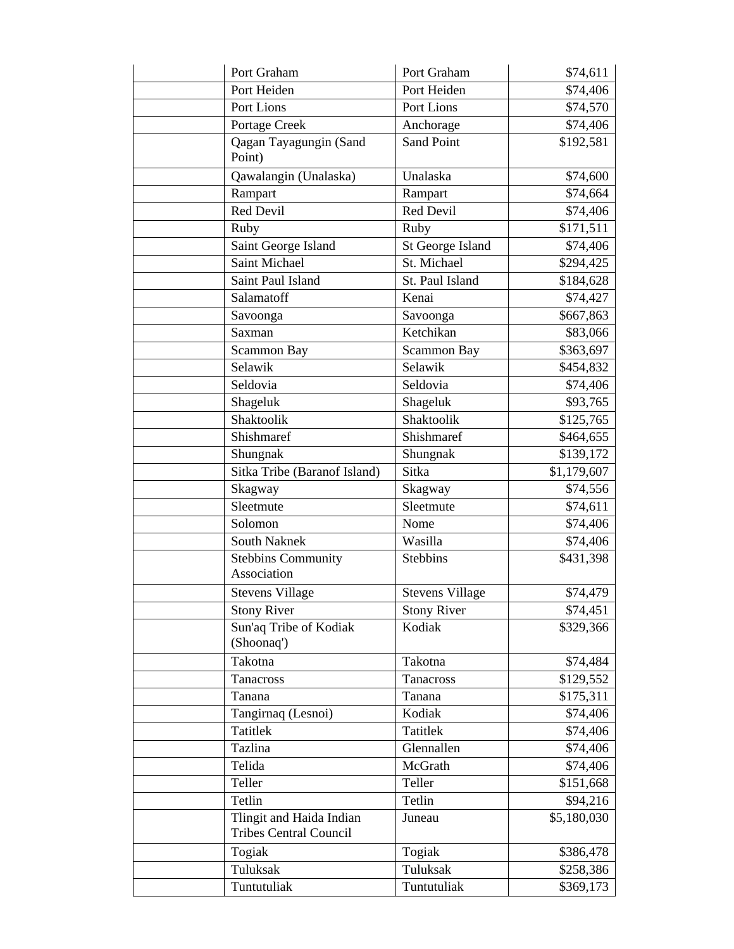| Port Graham                                               | Port Graham            | \$74,611    |
|-----------------------------------------------------------|------------------------|-------------|
| Port Heiden                                               | Port Heiden            | \$74,406    |
| Port Lions                                                | Port Lions             | \$74,570    |
| Portage Creek                                             | Anchorage              | \$74,406    |
| Qagan Tayagungin (Sand<br>Point)                          | <b>Sand Point</b>      | \$192,581   |
| Qawalangin (Unalaska)                                     | Unalaska               | \$74,600    |
| Rampart                                                   | Rampart                | \$74,664    |
| Red Devil                                                 | Red Devil              | \$74,406    |
| Ruby                                                      | Ruby                   | \$171,511   |
| Saint George Island                                       | St George Island       | \$74,406    |
| Saint Michael                                             | St. Michael            | \$294,425   |
| Saint Paul Island                                         | St. Paul Island        | \$184,628   |
| Salamatoff                                                | Kenai                  | \$74,427    |
| Savoonga                                                  | Savoonga               | \$667,863   |
| Saxman                                                    | Ketchikan              | \$83,066    |
| Scammon Bay                                               | Scammon Bay            | \$363,697   |
| Selawik                                                   | Selawik                | \$454,832   |
| Seldovia                                                  | Seldovia               | \$74,406    |
| Shageluk                                                  | Shageluk               | \$93,765    |
| Shaktoolik                                                | Shaktoolik             | \$125,765   |
| Shishmaref                                                | Shishmaref             | \$464,655   |
| Shungnak                                                  | Shungnak               | \$139,172   |
| Sitka Tribe (Baranof Island)                              | Sitka                  | \$1,179,607 |
| Skagway                                                   | Skagway                | \$74,556    |
| Sleetmute                                                 | Sleetmute              | \$74,611    |
| Solomon                                                   | Nome                   | \$74,406    |
| South Naknek                                              | Wasilla                | \$74,406    |
| <b>Stebbins Community</b><br>Association                  | <b>Stebbins</b>        | \$431,398   |
| <b>Stevens Village</b>                                    | <b>Stevens Village</b> | \$74,479    |
| <b>Stony River</b>                                        | <b>Stony River</b>     | \$74,451    |
| Sun'aq Tribe of Kodiak<br>(Shoonaq')                      | Kodiak                 | \$329,366   |
| Takotna                                                   | Takotna                | \$74,484    |
| Tanacross                                                 | <b>Tanacross</b>       | \$129,552   |
| Tanana                                                    | Tanana                 | \$175,311   |
| Tangirnaq (Lesnoi)                                        | Kodiak                 | \$74,406    |
| Tatitlek                                                  | <b>Tatitlek</b>        | \$74,406    |
| Tazlina                                                   | Glennallen             | \$74,406    |
| Telida                                                    | McGrath                | \$74,406    |
| Teller                                                    | Teller                 | \$151,668   |
| Tetlin                                                    | Tetlin                 | \$94,216    |
| Tlingit and Haida Indian<br><b>Tribes Central Council</b> | Juneau                 | \$5,180,030 |
| Togiak                                                    | Togiak                 | \$386,478   |
| Tuluksak                                                  | Tuluksak               | \$258,386   |
| Tuntutuliak                                               | Tuntutuliak            | \$369,173   |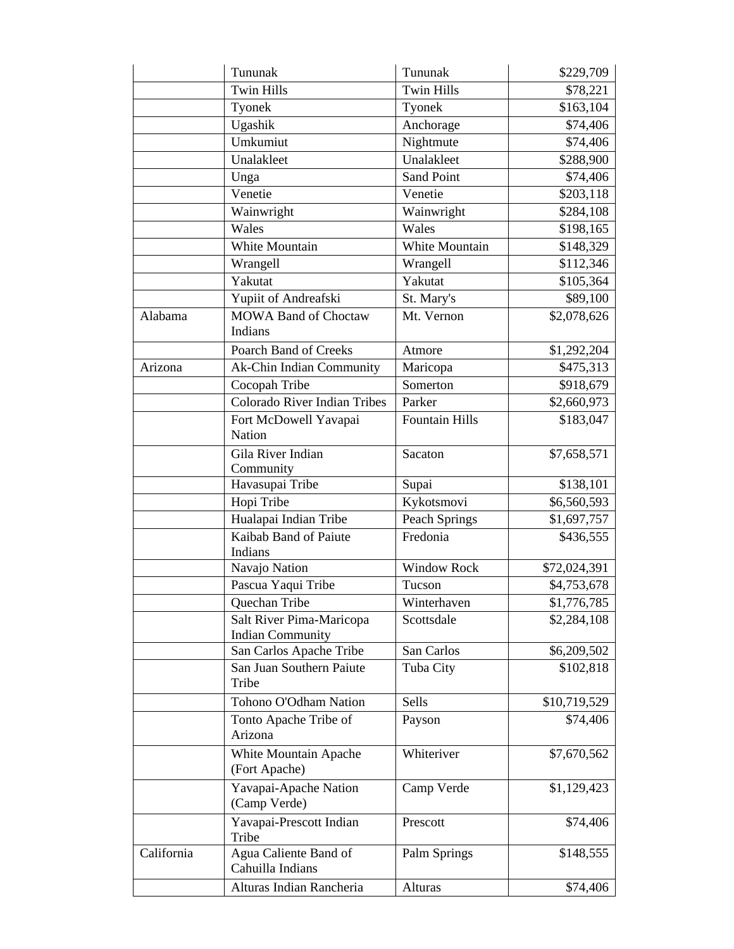| <b>Twin Hills</b><br><b>Twin Hills</b><br>\$78,221<br>\$163,104<br>Tyonek<br>Tyonek<br>Ugashik<br>Anchorage<br>\$74,406<br>Umkumiut<br>Nightmute<br>\$74,406<br>Unalakleet<br>Unalakleet<br>\$288,900<br><b>Sand Point</b><br>\$74,406<br>Unga<br>Venetie<br>Venetie<br>\$203,118<br>Wainwright<br>Wainwright<br>\$284,108<br>Wales<br>Wales<br>\$198,165<br>White Mountain<br>White Mountain<br>\$148,329<br>Wrangell<br>Wrangell<br>\$112,346<br>Yakutat<br>Yakutat<br>\$105,364<br>Yupiit of Andreafski<br>St. Mary's<br>\$89,100<br><b>MOWA Band of Choctaw</b><br>Mt. Vernon<br>\$2,078,626<br>Indians<br>Poarch Band of Creeks<br>\$1,292,204<br>Atmore<br>Ak-Chin Indian Community<br>Maricopa<br>\$475,313<br>Cocopah Tribe<br>\$918,679<br>Somerton<br>Colorado River Indian Tribes<br>Parker<br>\$2,660,973<br>Fort McDowell Yavapai<br><b>Fountain Hills</b><br>\$183,047<br>Nation<br>Gila River Indian<br>Sacaton<br>\$7,658,571<br>Community<br>Havasupai Tribe<br>\$138,101<br>Supai<br>Hopi Tribe<br>Kykotsmovi<br>\$6,560,593<br>Hualapai Indian Tribe<br>Peach Springs<br>\$1,697,757<br>Kaibab Band of Paiute<br>Fredonia<br>\$436,555<br>Indians<br><b>Window Rock</b><br>Navajo Nation<br>\$72,024,391<br>Pascua Yaqui Tribe<br>\$4,753,678<br>Tucson<br>Winterhaven<br>Quechan Tribe<br>Salt River Pima-Maricopa<br>Scottsdale<br>\$2,284,108<br><b>Indian Community</b><br>San Carlos Apache Tribe<br>San Carlos<br>\$6,209,502<br>San Juan Southern Paiute<br>Tuba City<br>\$102,818<br>Tribe<br>Tohono O'Odham Nation<br>Sells<br>\$10,719,529<br>Tonto Apache Tribe of<br>\$74,406<br>Payson<br>Arizona<br>Whiteriver<br>\$7,670,562<br>White Mountain Apache<br>(Fort Apache)<br>Yavapai-Apache Nation<br>Camp Verde<br>\$1,129,423<br>(Camp Verde)<br>Yavapai-Prescott Indian<br>Prescott<br>\$74,406<br>Tribe<br>Agua Caliente Band of<br>\$148,555<br>Palm Springs<br>Cahuilla Indians<br>Alturas Indian Rancheria<br>Alturas<br>\$74,406 |            | Tununak | Tununak | \$229,709   |
|-------------------------------------------------------------------------------------------------------------------------------------------------------------------------------------------------------------------------------------------------------------------------------------------------------------------------------------------------------------------------------------------------------------------------------------------------------------------------------------------------------------------------------------------------------------------------------------------------------------------------------------------------------------------------------------------------------------------------------------------------------------------------------------------------------------------------------------------------------------------------------------------------------------------------------------------------------------------------------------------------------------------------------------------------------------------------------------------------------------------------------------------------------------------------------------------------------------------------------------------------------------------------------------------------------------------------------------------------------------------------------------------------------------------------------------------------------------------------------------------------------------------------------------------------------------------------------------------------------------------------------------------------------------------------------------------------------------------------------------------------------------------------------------------------------------------------------------------------------------------------------------------------------------------------------------------------------------------------|------------|---------|---------|-------------|
|                                                                                                                                                                                                                                                                                                                                                                                                                                                                                                                                                                                                                                                                                                                                                                                                                                                                                                                                                                                                                                                                                                                                                                                                                                                                                                                                                                                                                                                                                                                                                                                                                                                                                                                                                                                                                                                                                                                                                                         |            |         |         |             |
|                                                                                                                                                                                                                                                                                                                                                                                                                                                                                                                                                                                                                                                                                                                                                                                                                                                                                                                                                                                                                                                                                                                                                                                                                                                                                                                                                                                                                                                                                                                                                                                                                                                                                                                                                                                                                                                                                                                                                                         |            |         |         |             |
|                                                                                                                                                                                                                                                                                                                                                                                                                                                                                                                                                                                                                                                                                                                                                                                                                                                                                                                                                                                                                                                                                                                                                                                                                                                                                                                                                                                                                                                                                                                                                                                                                                                                                                                                                                                                                                                                                                                                                                         |            |         |         |             |
|                                                                                                                                                                                                                                                                                                                                                                                                                                                                                                                                                                                                                                                                                                                                                                                                                                                                                                                                                                                                                                                                                                                                                                                                                                                                                                                                                                                                                                                                                                                                                                                                                                                                                                                                                                                                                                                                                                                                                                         |            |         |         |             |
|                                                                                                                                                                                                                                                                                                                                                                                                                                                                                                                                                                                                                                                                                                                                                                                                                                                                                                                                                                                                                                                                                                                                                                                                                                                                                                                                                                                                                                                                                                                                                                                                                                                                                                                                                                                                                                                                                                                                                                         |            |         |         |             |
|                                                                                                                                                                                                                                                                                                                                                                                                                                                                                                                                                                                                                                                                                                                                                                                                                                                                                                                                                                                                                                                                                                                                                                                                                                                                                                                                                                                                                                                                                                                                                                                                                                                                                                                                                                                                                                                                                                                                                                         |            |         |         |             |
|                                                                                                                                                                                                                                                                                                                                                                                                                                                                                                                                                                                                                                                                                                                                                                                                                                                                                                                                                                                                                                                                                                                                                                                                                                                                                                                                                                                                                                                                                                                                                                                                                                                                                                                                                                                                                                                                                                                                                                         |            |         |         |             |
|                                                                                                                                                                                                                                                                                                                                                                                                                                                                                                                                                                                                                                                                                                                                                                                                                                                                                                                                                                                                                                                                                                                                                                                                                                                                                                                                                                                                                                                                                                                                                                                                                                                                                                                                                                                                                                                                                                                                                                         |            |         |         |             |
|                                                                                                                                                                                                                                                                                                                                                                                                                                                                                                                                                                                                                                                                                                                                                                                                                                                                                                                                                                                                                                                                                                                                                                                                                                                                                                                                                                                                                                                                                                                                                                                                                                                                                                                                                                                                                                                                                                                                                                         |            |         |         |             |
|                                                                                                                                                                                                                                                                                                                                                                                                                                                                                                                                                                                                                                                                                                                                                                                                                                                                                                                                                                                                                                                                                                                                                                                                                                                                                                                                                                                                                                                                                                                                                                                                                                                                                                                                                                                                                                                                                                                                                                         |            |         |         |             |
|                                                                                                                                                                                                                                                                                                                                                                                                                                                                                                                                                                                                                                                                                                                                                                                                                                                                                                                                                                                                                                                                                                                                                                                                                                                                                                                                                                                                                                                                                                                                                                                                                                                                                                                                                                                                                                                                                                                                                                         |            |         |         |             |
|                                                                                                                                                                                                                                                                                                                                                                                                                                                                                                                                                                                                                                                                                                                                                                                                                                                                                                                                                                                                                                                                                                                                                                                                                                                                                                                                                                                                                                                                                                                                                                                                                                                                                                                                                                                                                                                                                                                                                                         |            |         |         |             |
|                                                                                                                                                                                                                                                                                                                                                                                                                                                                                                                                                                                                                                                                                                                                                                                                                                                                                                                                                                                                                                                                                                                                                                                                                                                                                                                                                                                                                                                                                                                                                                                                                                                                                                                                                                                                                                                                                                                                                                         |            |         |         |             |
|                                                                                                                                                                                                                                                                                                                                                                                                                                                                                                                                                                                                                                                                                                                                                                                                                                                                                                                                                                                                                                                                                                                                                                                                                                                                                                                                                                                                                                                                                                                                                                                                                                                                                                                                                                                                                                                                                                                                                                         | Alabama    |         |         |             |
|                                                                                                                                                                                                                                                                                                                                                                                                                                                                                                                                                                                                                                                                                                                                                                                                                                                                                                                                                                                                                                                                                                                                                                                                                                                                                                                                                                                                                                                                                                                                                                                                                                                                                                                                                                                                                                                                                                                                                                         |            |         |         |             |
|                                                                                                                                                                                                                                                                                                                                                                                                                                                                                                                                                                                                                                                                                                                                                                                                                                                                                                                                                                                                                                                                                                                                                                                                                                                                                                                                                                                                                                                                                                                                                                                                                                                                                                                                                                                                                                                                                                                                                                         | Arizona    |         |         |             |
|                                                                                                                                                                                                                                                                                                                                                                                                                                                                                                                                                                                                                                                                                                                                                                                                                                                                                                                                                                                                                                                                                                                                                                                                                                                                                                                                                                                                                                                                                                                                                                                                                                                                                                                                                                                                                                                                                                                                                                         |            |         |         |             |
|                                                                                                                                                                                                                                                                                                                                                                                                                                                                                                                                                                                                                                                                                                                                                                                                                                                                                                                                                                                                                                                                                                                                                                                                                                                                                                                                                                                                                                                                                                                                                                                                                                                                                                                                                                                                                                                                                                                                                                         |            |         |         |             |
|                                                                                                                                                                                                                                                                                                                                                                                                                                                                                                                                                                                                                                                                                                                                                                                                                                                                                                                                                                                                                                                                                                                                                                                                                                                                                                                                                                                                                                                                                                                                                                                                                                                                                                                                                                                                                                                                                                                                                                         |            |         |         |             |
|                                                                                                                                                                                                                                                                                                                                                                                                                                                                                                                                                                                                                                                                                                                                                                                                                                                                                                                                                                                                                                                                                                                                                                                                                                                                                                                                                                                                                                                                                                                                                                                                                                                                                                                                                                                                                                                                                                                                                                         |            |         |         |             |
|                                                                                                                                                                                                                                                                                                                                                                                                                                                                                                                                                                                                                                                                                                                                                                                                                                                                                                                                                                                                                                                                                                                                                                                                                                                                                                                                                                                                                                                                                                                                                                                                                                                                                                                                                                                                                                                                                                                                                                         |            |         |         |             |
|                                                                                                                                                                                                                                                                                                                                                                                                                                                                                                                                                                                                                                                                                                                                                                                                                                                                                                                                                                                                                                                                                                                                                                                                                                                                                                                                                                                                                                                                                                                                                                                                                                                                                                                                                                                                                                                                                                                                                                         |            |         |         |             |
|                                                                                                                                                                                                                                                                                                                                                                                                                                                                                                                                                                                                                                                                                                                                                                                                                                                                                                                                                                                                                                                                                                                                                                                                                                                                                                                                                                                                                                                                                                                                                                                                                                                                                                                                                                                                                                                                                                                                                                         |            |         |         |             |
|                                                                                                                                                                                                                                                                                                                                                                                                                                                                                                                                                                                                                                                                                                                                                                                                                                                                                                                                                                                                                                                                                                                                                                                                                                                                                                                                                                                                                                                                                                                                                                                                                                                                                                                                                                                                                                                                                                                                                                         |            |         |         |             |
|                                                                                                                                                                                                                                                                                                                                                                                                                                                                                                                                                                                                                                                                                                                                                                                                                                                                                                                                                                                                                                                                                                                                                                                                                                                                                                                                                                                                                                                                                                                                                                                                                                                                                                                                                                                                                                                                                                                                                                         |            |         |         |             |
|                                                                                                                                                                                                                                                                                                                                                                                                                                                                                                                                                                                                                                                                                                                                                                                                                                                                                                                                                                                                                                                                                                                                                                                                                                                                                                                                                                                                                                                                                                                                                                                                                                                                                                                                                                                                                                                                                                                                                                         |            |         |         |             |
|                                                                                                                                                                                                                                                                                                                                                                                                                                                                                                                                                                                                                                                                                                                                                                                                                                                                                                                                                                                                                                                                                                                                                                                                                                                                                                                                                                                                                                                                                                                                                                                                                                                                                                                                                                                                                                                                                                                                                                         |            |         |         | \$1,776,785 |
|                                                                                                                                                                                                                                                                                                                                                                                                                                                                                                                                                                                                                                                                                                                                                                                                                                                                                                                                                                                                                                                                                                                                                                                                                                                                                                                                                                                                                                                                                                                                                                                                                                                                                                                                                                                                                                                                                                                                                                         |            |         |         |             |
|                                                                                                                                                                                                                                                                                                                                                                                                                                                                                                                                                                                                                                                                                                                                                                                                                                                                                                                                                                                                                                                                                                                                                                                                                                                                                                                                                                                                                                                                                                                                                                                                                                                                                                                                                                                                                                                                                                                                                                         |            |         |         |             |
|                                                                                                                                                                                                                                                                                                                                                                                                                                                                                                                                                                                                                                                                                                                                                                                                                                                                                                                                                                                                                                                                                                                                                                                                                                                                                                                                                                                                                                                                                                                                                                                                                                                                                                                                                                                                                                                                                                                                                                         |            |         |         |             |
|                                                                                                                                                                                                                                                                                                                                                                                                                                                                                                                                                                                                                                                                                                                                                                                                                                                                                                                                                                                                                                                                                                                                                                                                                                                                                                                                                                                                                                                                                                                                                                                                                                                                                                                                                                                                                                                                                                                                                                         |            |         |         |             |
|                                                                                                                                                                                                                                                                                                                                                                                                                                                                                                                                                                                                                                                                                                                                                                                                                                                                                                                                                                                                                                                                                                                                                                                                                                                                                                                                                                                                                                                                                                                                                                                                                                                                                                                                                                                                                                                                                                                                                                         |            |         |         |             |
|                                                                                                                                                                                                                                                                                                                                                                                                                                                                                                                                                                                                                                                                                                                                                                                                                                                                                                                                                                                                                                                                                                                                                                                                                                                                                                                                                                                                                                                                                                                                                                                                                                                                                                                                                                                                                                                                                                                                                                         |            |         |         |             |
|                                                                                                                                                                                                                                                                                                                                                                                                                                                                                                                                                                                                                                                                                                                                                                                                                                                                                                                                                                                                                                                                                                                                                                                                                                                                                                                                                                                                                                                                                                                                                                                                                                                                                                                                                                                                                                                                                                                                                                         |            |         |         |             |
|                                                                                                                                                                                                                                                                                                                                                                                                                                                                                                                                                                                                                                                                                                                                                                                                                                                                                                                                                                                                                                                                                                                                                                                                                                                                                                                                                                                                                                                                                                                                                                                                                                                                                                                                                                                                                                                                                                                                                                         |            |         |         |             |
|                                                                                                                                                                                                                                                                                                                                                                                                                                                                                                                                                                                                                                                                                                                                                                                                                                                                                                                                                                                                                                                                                                                                                                                                                                                                                                                                                                                                                                                                                                                                                                                                                                                                                                                                                                                                                                                                                                                                                                         | California |         |         |             |
|                                                                                                                                                                                                                                                                                                                                                                                                                                                                                                                                                                                                                                                                                                                                                                                                                                                                                                                                                                                                                                                                                                                                                                                                                                                                                                                                                                                                                                                                                                                                                                                                                                                                                                                                                                                                                                                                                                                                                                         |            |         |         |             |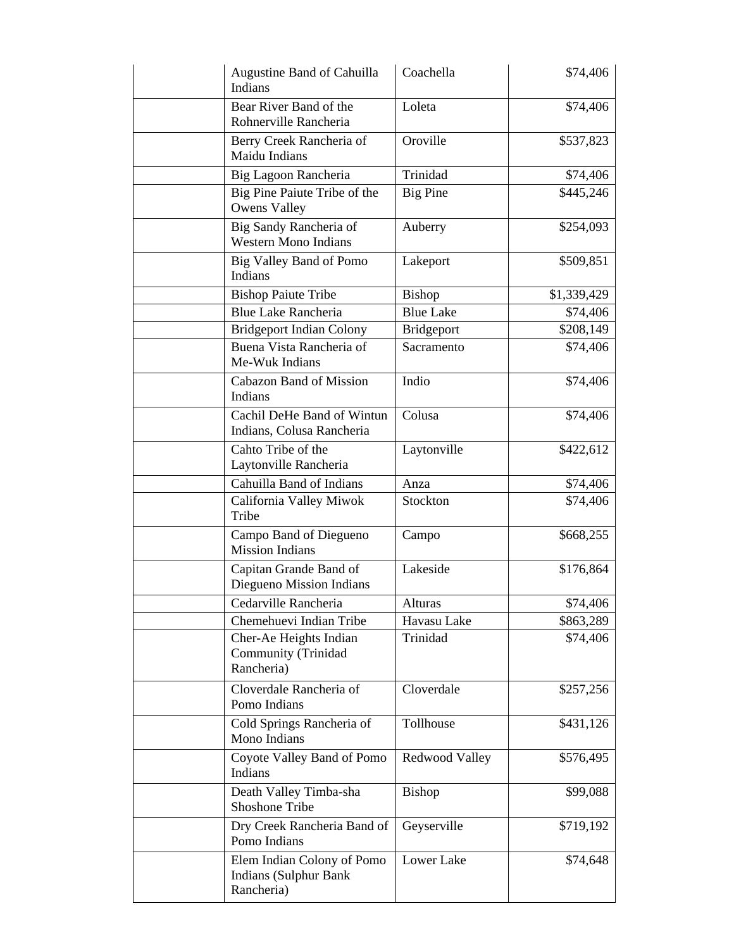| Augustine Band of Cahuilla<br>Indians                                    | Coachella         | \$74,406    |
|--------------------------------------------------------------------------|-------------------|-------------|
| Bear River Band of the<br>Rohnerville Rancheria                          | Loleta            | \$74,406    |
| Berry Creek Rancheria of<br>Maidu Indians                                | Oroville          | \$537,823   |
| Big Lagoon Rancheria                                                     | Trinidad          | \$74,406    |
| Big Pine Paiute Tribe of the<br><b>Owens Valley</b>                      | <b>Big Pine</b>   | \$445,246   |
| Big Sandy Rancheria of<br><b>Western Mono Indians</b>                    | Auberry           | \$254,093   |
| Big Valley Band of Pomo<br>Indians                                       | Lakeport          | \$509,851   |
| <b>Bishop Paiute Tribe</b>                                               | Bishop            | \$1,339,429 |
| Blue Lake Rancheria                                                      | <b>Blue Lake</b>  | \$74,406    |
| <b>Bridgeport Indian Colony</b>                                          | <b>Bridgeport</b> | \$208,149   |
| Buena Vista Rancheria of<br>Me-Wuk Indians                               | Sacramento        | \$74,406    |
| <b>Cabazon Band of Mission</b><br>Indians                                | Indio             | \$74,406    |
| Cachil DeHe Band of Wintun<br>Indians, Colusa Rancheria                  | Colusa            | \$74,406    |
| Cahto Tribe of the<br>Laytonville Rancheria                              | Laytonville       | \$422,612   |
| Cahuilla Band of Indians                                                 | Anza              | \$74,406    |
| California Valley Miwok<br>Tribe                                         | Stockton          | \$74,406    |
| Campo Band of Diegueno<br><b>Mission Indians</b>                         | Campo             | \$668,255   |
| Capitan Grande Band of<br>Diegueno Mission Indians                       | Lakeside          | \$176,864   |
| Cedarville Rancheria                                                     | Alturas           | \$74,406    |
| Chemehuevi Indian Tribe                                                  | Havasu Lake       | \$863,289   |
| Cher-Ae Heights Indian<br>Community (Trinidad<br>Rancheria)              | Trinidad          | \$74,406    |
| Cloverdale Rancheria of<br>Pomo Indians                                  | Cloverdale        | \$257,256   |
| Cold Springs Rancheria of<br>Mono Indians                                | Tollhouse         | \$431,126   |
| Coyote Valley Band of Pomo<br>Indians                                    | Redwood Valley    | \$576,495   |
| Death Valley Timba-sha<br><b>Shoshone Tribe</b>                          | Bishop            | \$99,088    |
| Dry Creek Rancheria Band of<br>Pomo Indians                              | Geyserville       | \$719,192   |
| Elem Indian Colony of Pomo<br><b>Indians (Sulphur Bank</b><br>Rancheria) | Lower Lake        | \$74,648    |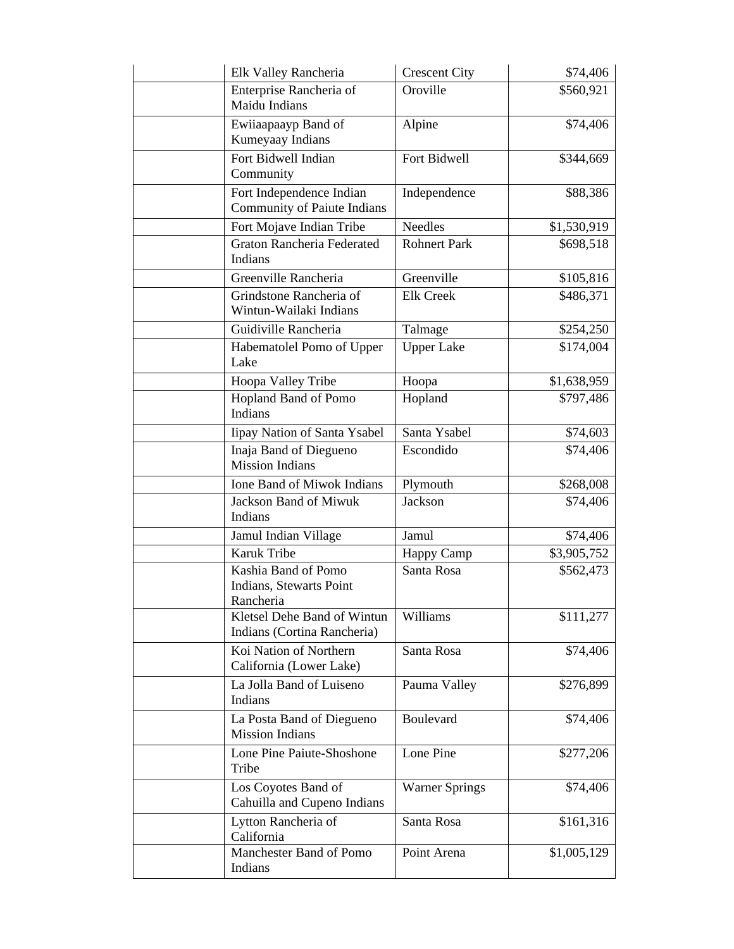| Elk Valley Rancheria                                       | <b>Crescent City</b>  | \$74,406    |
|------------------------------------------------------------|-----------------------|-------------|
| Enterprise Rancheria of                                    | Oroville              | \$560,921   |
| Maidu Indians                                              |                       |             |
| Ewiiaapaayp Band of                                        | Alpine                | \$74,406    |
| Kumeyaay Indians                                           |                       |             |
| Fort Bidwell Indian                                        | Fort Bidwell          | \$344,669   |
| Community                                                  |                       |             |
| Fort Independence Indian                                   | Independence          | \$88,386    |
| Community of Paiute Indians                                |                       |             |
| Fort Mojave Indian Tribe                                   | <b>Needles</b>        | \$1,530,919 |
| Graton Rancheria Federated<br>Indians                      | <b>Rohnert Park</b>   | \$698,518   |
| Greenville Rancheria                                       | Greenville            | \$105,816   |
| Grindstone Rancheria of<br>Wintun-Wailaki Indians          | <b>Elk Creek</b>      | \$486,371   |
| Guidiville Rancheria                                       | Talmage               | \$254,250   |
| Habematolel Pomo of Upper<br>Lake                          | <b>Upper Lake</b>     | \$174,004   |
| Hoopa Valley Tribe                                         | Hoopa                 | \$1,638,959 |
| Hopland Band of Pomo                                       | Hopland               | \$797,486   |
| Indians                                                    |                       |             |
| Iipay Nation of Santa Ysabel                               | Santa Ysabel          | \$74,603    |
| Inaja Band of Diegueno<br><b>Mission Indians</b>           | Escondido             | \$74,406    |
| <b>Ione Band of Miwok Indians</b>                          | Plymouth              | \$268,008   |
| <b>Jackson Band of Miwuk</b>                               | Jackson               | \$74,406    |
| <b>Indians</b>                                             |                       |             |
| Jamul Indian Village                                       | Jamul                 | \$74,406    |
| Karuk Tribe                                                | Happy Camp            | \$3,905,752 |
| Kashia Band of Pomo                                        | Santa Rosa            | \$562,473   |
| Indians, Stewarts Point                                    |                       |             |
| Rancheria                                                  |                       |             |
| Kletsel Dehe Band of Wintun<br>Indians (Cortina Rancheria) | Williams              | \$111,277   |
| Koi Nation of Northern<br>California (Lower Lake)          | Santa Rosa            | \$74,406    |
| La Jolla Band of Luiseno<br>Indians                        | Pauma Valley          | \$276,899   |
| La Posta Band of Diegueno<br><b>Mission Indians</b>        | <b>Boulevard</b>      | \$74,406    |
| Lone Pine Paiute-Shoshone<br>Tribe                         | Lone Pine             | \$277,206   |
| Los Coyotes Band of<br>Cahuilla and Cupeno Indians         | <b>Warner Springs</b> | \$74,406    |
| Lytton Rancheria of<br>California                          | Santa Rosa            | \$161,316   |
| Manchester Band of Pomo<br>Indians                         | Point Arena           | \$1,005,129 |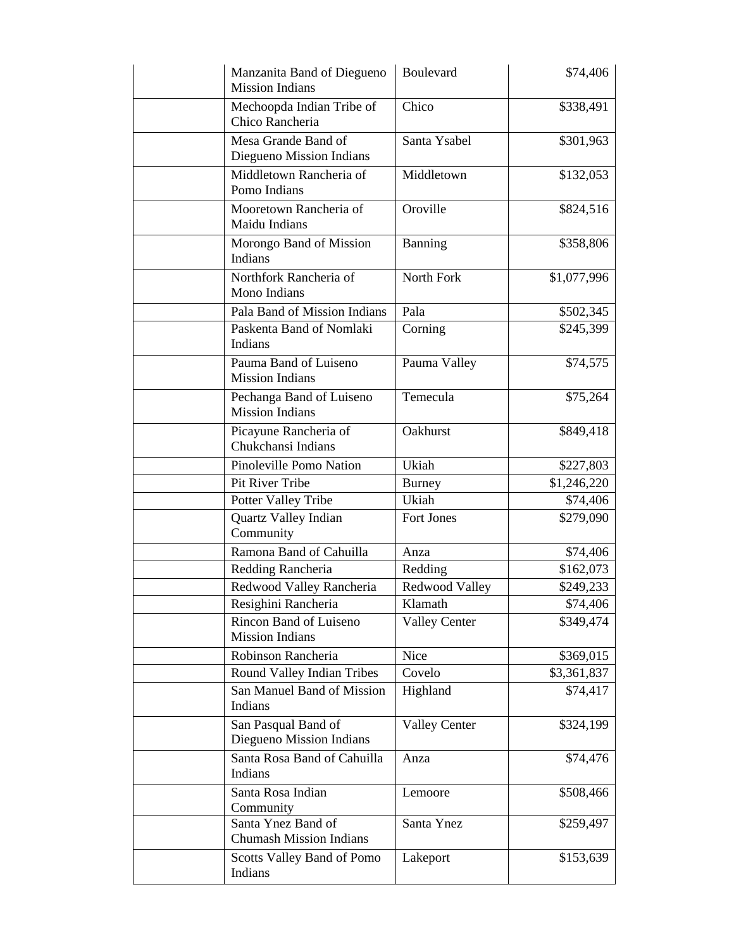| Manzanita Band of Diegueno<br><b>Mission Indians</b> | Boulevard            | \$74,406    |
|------------------------------------------------------|----------------------|-------------|
| Mechoopda Indian Tribe of<br>Chico Rancheria         | Chico                | \$338,491   |
| Mesa Grande Band of<br>Diegueno Mission Indians      | Santa Ysabel         | \$301,963   |
| Middletown Rancheria of<br>Pomo Indians              | Middletown           | \$132,053   |
| Mooretown Rancheria of<br>Maidu Indians              | Oroville             | \$824,516   |
| Morongo Band of Mission<br>Indians                   | Banning              | \$358,806   |
| Northfork Rancheria of<br>Mono Indians               | North Fork           | \$1,077,996 |
| Pala Band of Mission Indians                         | Pala                 | \$502,345   |
| Paskenta Band of Nomlaki<br>Indians                  | Corning              | \$245,399   |
| Pauma Band of Luiseno<br><b>Mission Indians</b>      | Pauma Valley         | \$74,575    |
| Pechanga Band of Luiseno<br><b>Mission Indians</b>   | Temecula             | \$75,264    |
| Picayune Rancheria of<br>Chukchansi Indians          | Oakhurst             | \$849,418   |
| Pinoleville Pomo Nation                              | Ukiah                | \$227,803   |
| Pit River Tribe                                      | Burney               | \$1,246,220 |
| Potter Valley Tribe                                  | Ukiah                | \$74,406    |
| Quartz Valley Indian<br>Community                    | Fort Jones           | \$279,090   |
| Ramona Band of Cahuilla                              | Anza                 | \$74,406    |
| Redding Rancheria                                    | Redding              | \$162,073   |
| Redwood Valley Rancheria                             | Redwood Valley       | \$249,233   |
| Resighini Rancheria                                  | Klamath              | \$74,406    |
| Rincon Band of Luiseno<br><b>Mission Indians</b>     | <b>Valley Center</b> | \$349,474   |
| Robinson Rancheria                                   | Nice                 | \$369,015   |
| Round Valley Indian Tribes                           | Covelo               | \$3,361,837 |
| San Manuel Band of Mission<br>Indians                | Highland             | \$74,417    |
| San Pasqual Band of<br>Diegueno Mission Indians      | <b>Valley Center</b> | \$324,199   |
| Santa Rosa Band of Cahuilla<br>Indians               | Anza                 | \$74,476    |
| Santa Rosa Indian<br>Community                       | Lemoore              | \$508,466   |
| Santa Ynez Band of<br><b>Chumash Mission Indians</b> | Santa Ynez           | \$259,497   |
| Scotts Valley Band of Pomo<br>Indians                | Lakeport             | \$153,639   |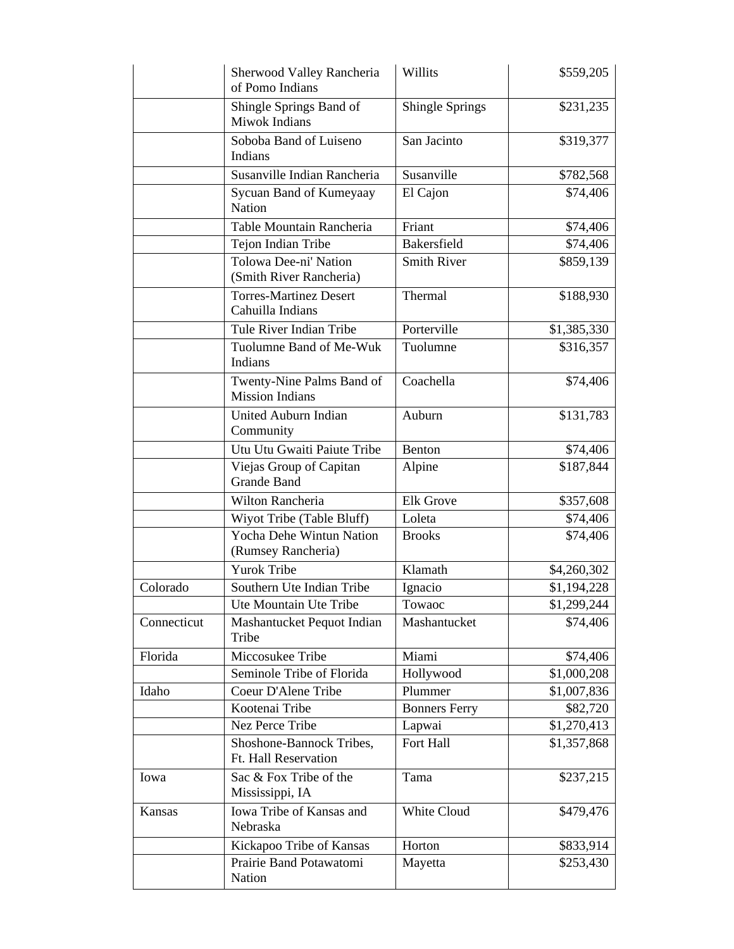|             | Sherwood Valley Rancheria<br>of Pomo Indians          | Willits                | \$559,205   |
|-------------|-------------------------------------------------------|------------------------|-------------|
|             | Shingle Springs Band of<br>Miwok Indians              | <b>Shingle Springs</b> | \$231,235   |
|             | Soboba Band of Luiseno<br>Indians                     | San Jacinto            | \$319,377   |
|             | Susanville Indian Rancheria                           | Susanville             | \$782,568   |
|             | Sycuan Band of Kumeyaay<br>Nation                     | El Cajon               | \$74,406    |
|             | Table Mountain Rancheria                              | Friant                 | \$74,406    |
|             | Tejon Indian Tribe                                    | <b>Bakersfield</b>     | \$74,406    |
|             | Tolowa Dee-ni' Nation<br>(Smith River Rancheria)      | <b>Smith River</b>     | \$859,139   |
|             | <b>Torres-Martinez Desert</b><br>Cahuilla Indians     | Thermal                | \$188,930   |
|             | Tule River Indian Tribe                               | Porterville            | \$1,385,330 |
|             | Tuolumne Band of Me-Wuk<br>Indians                    | Tuolumne               | \$316,357   |
|             | Twenty-Nine Palms Band of<br><b>Mission Indians</b>   | Coachella              | \$74,406    |
|             | United Auburn Indian<br>Community                     | Auburn                 | \$131,783   |
|             | Utu Utu Gwaiti Paiute Tribe                           | Benton                 | \$74,406    |
|             | Viejas Group of Capitan<br><b>Grande Band</b>         | Alpine                 | \$187,844   |
|             | Wilton Rancheria                                      | <b>Elk Grove</b>       | \$357,608   |
|             | Wiyot Tribe (Table Bluff)                             | Loleta                 | \$74,406    |
|             | <b>Yocha Dehe Wintun Nation</b><br>(Rumsey Rancheria) | <b>Brooks</b>          | \$74,406    |
|             | <b>Yurok Tribe</b>                                    | Klamath                | \$4,260,302 |
| Colorado    | Southern Ute Indian Tribe                             | Ignacio                | \$1,194,228 |
|             | Ute Mountain Ute Tribe                                | Towaoc                 | \$1,299,244 |
| Connecticut | Mashantucket Pequot Indian<br>Tribe                   | Mashantucket           | \$74,406    |
| Florida     | Miccosukee Tribe                                      | Miami                  | \$74,406    |
|             | Seminole Tribe of Florida                             | Hollywood              | \$1,000,208 |
| Idaho       | Coeur D'Alene Tribe                                   | Plummer                | \$1,007,836 |
|             | Kootenai Tribe                                        | <b>Bonners Ferry</b>   | \$82,720    |
|             | Nez Perce Tribe                                       | Lapwai                 | \$1,270,413 |
|             | Shoshone-Bannock Tribes,<br>Ft. Hall Reservation      | Fort Hall              | \$1,357,868 |
| Iowa        | Sac & Fox Tribe of the<br>Mississippi, IA             | Tama                   | \$237,215   |
| Kansas      | Iowa Tribe of Kansas and<br>Nebraska                  | White Cloud            | \$479,476   |
|             | Kickapoo Tribe of Kansas                              | Horton                 | \$833,914   |
|             | Prairie Band Potawatomi<br>Nation                     | Mayetta                | \$253,430   |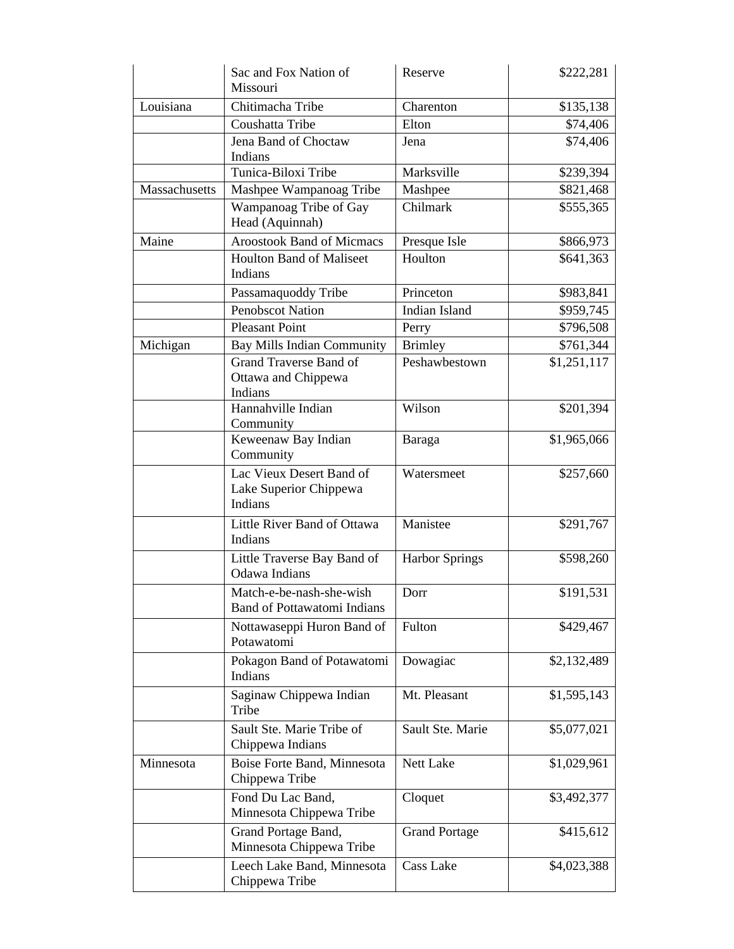|               | Sac and Fox Nation of<br>Missouri                               | Reserve               | \$222,281   |
|---------------|-----------------------------------------------------------------|-----------------------|-------------|
| Louisiana     | Chitimacha Tribe                                                | Charenton             | \$135,138   |
|               | Coushatta Tribe                                                 | Elton                 | \$74,406    |
|               | Jena Band of Choctaw<br>Indians                                 | Jena                  | \$74,406    |
|               | Tunica-Biloxi Tribe                                             | Marksville            | \$239,394   |
| Massachusetts | Mashpee Wampanoag Tribe                                         | Mashpee               | \$821,468   |
|               | Wampanoag Tribe of Gay<br>Head (Aquinnah)                       | Chilmark              | \$555,365   |
| Maine         | <b>Aroostook Band of Micmacs</b>                                | Presque Isle          | \$866,973   |
|               | <b>Houlton Band of Maliseet</b><br>Indians                      | Houlton               | \$641,363   |
|               | Passamaquoddy Tribe                                             | Princeton             | \$983,841   |
|               | <b>Penobscot Nation</b>                                         | <b>Indian Island</b>  | \$959,745   |
|               | <b>Pleasant Point</b>                                           | Perry                 | \$796,508   |
| Michigan      | Bay Mills Indian Community                                      | <b>Brimley</b>        | \$761,344   |
|               | <b>Grand Traverse Band of</b><br>Ottawa and Chippewa<br>Indians | Peshawbestown         | \$1,251,117 |
|               | Hannahville Indian<br>Community                                 | Wilson                | \$201,394   |
|               | Keweenaw Bay Indian<br>Community                                | Baraga                | \$1,965,066 |
|               | Lac Vieux Desert Band of<br>Lake Superior Chippewa<br>Indians   | Watersmeet            | \$257,660   |
|               | Little River Band of Ottawa<br>Indians                          | Manistee              | \$291,767   |
|               | Little Traverse Bay Band of<br>Odawa Indians                    | <b>Harbor Springs</b> | \$598,260   |
|               | Match-e-be-nash-she-wish<br><b>Band of Pottawatomi Indians</b>  | Dorr                  | \$191,531   |
|               | Nottawaseppi Huron Band of<br>Potawatomi                        | Fulton                | \$429,467   |
|               | Pokagon Band of Potawatomi<br>Indians                           | Dowagiac              | \$2,132,489 |
|               | Saginaw Chippewa Indian<br>Tribe                                | Mt. Pleasant          | \$1,595,143 |
|               | Sault Ste. Marie Tribe of<br>Chippewa Indians                   | Sault Ste. Marie      | \$5,077,021 |
| Minnesota     | Boise Forte Band, Minnesota<br>Chippewa Tribe                   | Nett Lake             | \$1,029,961 |
|               | Fond Du Lac Band,<br>Minnesota Chippewa Tribe                   | Cloquet               | \$3,492,377 |
|               | Grand Portage Band,<br>Minnesota Chippewa Tribe                 | <b>Grand Portage</b>  | \$415,612   |
|               | Leech Lake Band, Minnesota<br>Chippewa Tribe                    | <b>Cass Lake</b>      | \$4,023,388 |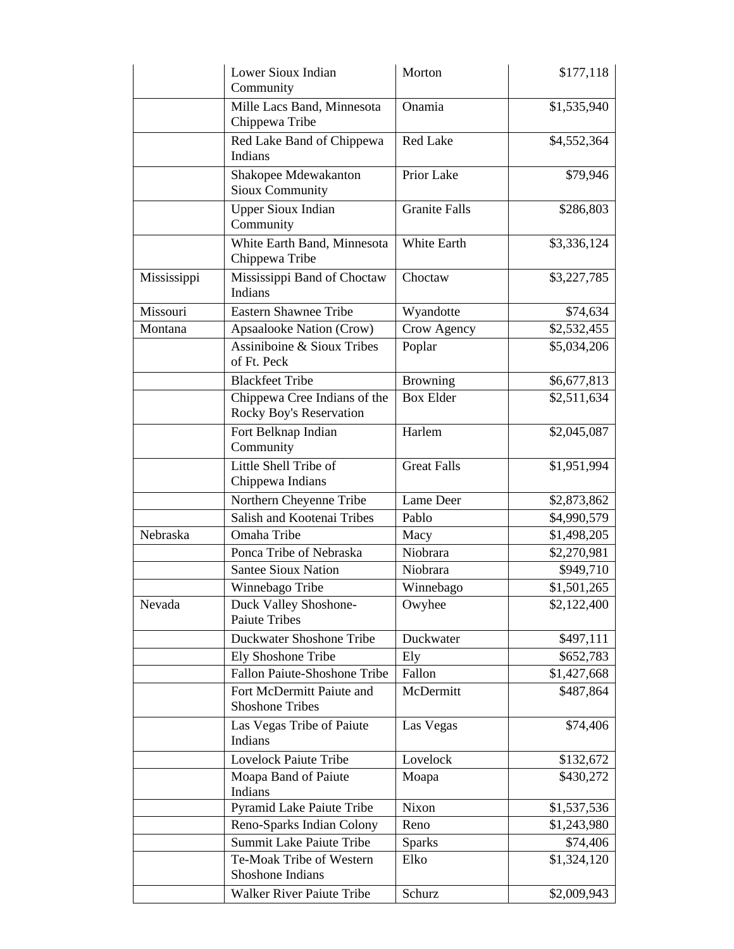|             | Lower Sioux Indian<br>Community                         | Morton               | \$177,118   |
|-------------|---------------------------------------------------------|----------------------|-------------|
|             | Mille Lacs Band, Minnesota<br>Chippewa Tribe            | Onamia               | \$1,535,940 |
|             | Red Lake Band of Chippewa<br>Indians                    | <b>Red Lake</b>      | \$4,552,364 |
|             | Shakopee Mdewakanton<br><b>Sioux Community</b>          | Prior Lake           | \$79,946    |
|             | <b>Upper Sioux Indian</b><br>Community                  | <b>Granite Falls</b> | \$286,803   |
|             | White Earth Band, Minnesota<br>Chippewa Tribe           | White Earth          | \$3,336,124 |
| Mississippi | Mississippi Band of Choctaw<br>Indians                  | Choctaw              | \$3,227,785 |
| Missouri    | <b>Eastern Shawnee Tribe</b>                            | Wyandotte            | \$74,634    |
| Montana     | Apsaalooke Nation (Crow)                                | Crow Agency          | \$2,532,455 |
|             | Assiniboine & Sioux Tribes<br>of Ft. Peck               | Poplar               | \$5,034,206 |
|             | <b>Blackfeet Tribe</b>                                  | <b>Browning</b>      | \$6,677,813 |
|             | Chippewa Cree Indians of the<br>Rocky Boy's Reservation | <b>Box Elder</b>     | \$2,511,634 |
|             | Fort Belknap Indian<br>Community                        | Harlem               | \$2,045,087 |
|             | Little Shell Tribe of<br>Chippewa Indians               | <b>Great Falls</b>   | \$1,951,994 |
|             | Northern Cheyenne Tribe                                 | Lame Deer            | \$2,873,862 |
|             | Salish and Kootenai Tribes                              | Pablo                | \$4,990,579 |
| Nebraska    | Omaha Tribe                                             | Macy                 | \$1,498,205 |
|             | Ponca Tribe of Nebraska                                 | Niobrara             | \$2,270,981 |
|             | <b>Santee Sioux Nation</b>                              | Niobrara             | \$949,710   |
|             | Winnebago Tribe                                         | Winnebago            | \$1,501,265 |
| Nevada      | Duck Valley Shoshone-<br><b>Paiute Tribes</b>           | Owyhee               | \$2,122,400 |
|             | Duckwater Shoshone Tribe                                | Duckwater            | \$497,111   |
|             | Ely Shoshone Tribe                                      | Ely                  | \$652,783   |
|             | Fallon Paiute-Shoshone Tribe                            | Fallon               | \$1,427,668 |
|             | Fort McDermitt Paiute and<br><b>Shoshone Tribes</b>     | McDermitt            | \$487,864   |
|             | Las Vegas Tribe of Paiute<br>Indians                    | Las Vegas            | \$74,406    |
|             | <b>Lovelock Paiute Tribe</b>                            | Lovelock             | \$132,672   |
|             | Moapa Band of Paiute<br>Indians                         | Moapa                | \$430,272   |
|             | Pyramid Lake Paiute Tribe                               | Nixon                | \$1,537,536 |
|             | Reno-Sparks Indian Colony                               | Reno                 | \$1,243,980 |
|             | <b>Summit Lake Paiute Tribe</b>                         | <b>Sparks</b>        | \$74,406    |
|             | Te-Moak Tribe of Western<br>Shoshone Indians            | Elko                 | \$1,324,120 |
|             | <b>Walker River Paiute Tribe</b>                        | Schurz               | \$2,009,943 |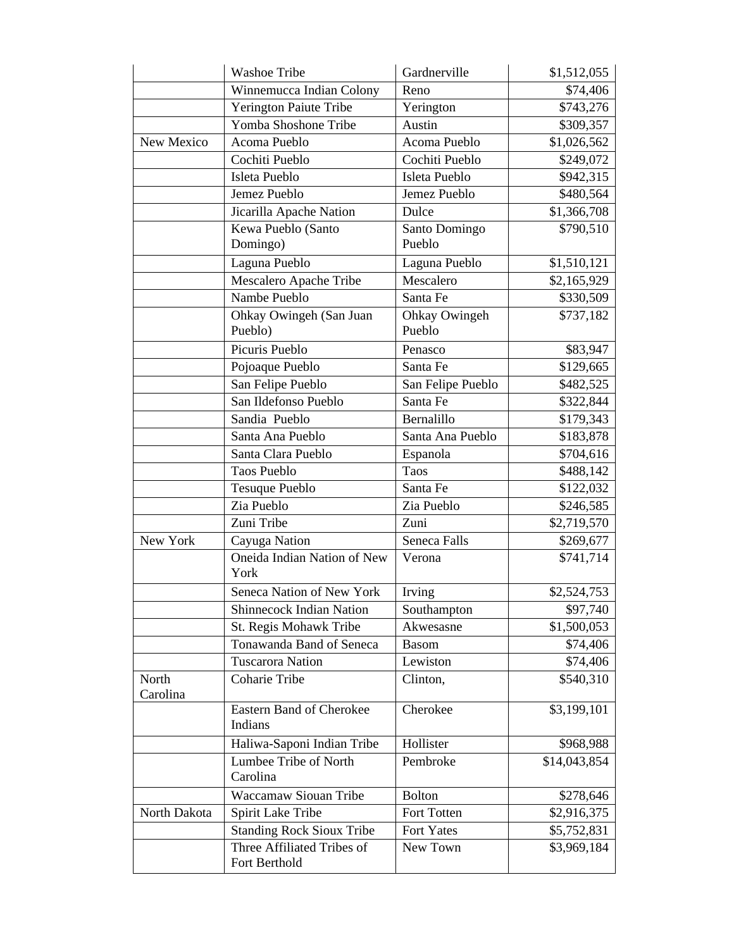|                   | <b>Washoe Tribe</b>                         | Gardnerville            | \$1,512,055  |
|-------------------|---------------------------------------------|-------------------------|--------------|
|                   | Winnemucca Indian Colony                    | Reno                    | \$74,406     |
|                   | Yerington Paiute Tribe                      | Yerington               | \$743,276    |
|                   | Yomba Shoshone Tribe                        | Austin                  | \$309,357    |
| New Mexico        | Acoma Pueblo                                | Acoma Pueblo            | \$1,026,562  |
|                   | Cochiti Pueblo                              | Cochiti Pueblo          | \$249,072    |
|                   | Isleta Pueblo                               | Isleta Pueblo           | \$942,315    |
|                   | Jemez Pueblo                                | Jemez Pueblo            | \$480,564    |
|                   | Jicarilla Apache Nation                     | Dulce                   | \$1,366,708  |
|                   | Kewa Pueblo (Santo                          | Santo Domingo           | \$790,510    |
|                   | Domingo)                                    | Pueblo                  |              |
|                   | Laguna Pueblo                               | Laguna Pueblo           | \$1,510,121  |
|                   | Mescalero Apache Tribe                      | Mescalero               | \$2,165,929  |
|                   | Nambe Pueblo                                | Santa Fe                | \$330,509    |
|                   | Ohkay Owingeh (San Juan<br>Pueblo)          | Ohkay Owingeh<br>Pueblo | \$737,182    |
|                   | Picuris Pueblo                              | Penasco                 | \$83,947     |
|                   | Pojoaque Pueblo                             | Santa Fe                | \$129,665    |
|                   | San Felipe Pueblo                           | San Felipe Pueblo       | \$482,525    |
|                   | San Ildefonso Pueblo                        | Santa Fe                | \$322,844    |
|                   | Sandia Pueblo                               | Bernalillo              | \$179,343    |
|                   | Santa Ana Pueblo                            | Santa Ana Pueblo        | \$183,878    |
|                   | Santa Clara Pueblo                          | Espanola                | \$704,616    |
|                   | <b>Taos Pueblo</b>                          | Taos                    | \$488,142    |
|                   | <b>Tesuque Pueblo</b>                       | Santa Fe                | \$122,032    |
|                   | Zia Pueblo                                  | Zia Pueblo              | \$246,585    |
|                   | Zuni Tribe                                  | Zuni                    | \$2,719,570  |
| New York          | Cayuga Nation                               | Seneca Falls            | \$269,677    |
|                   | Oneida Indian Nation of New<br>York         | Verona                  | \$741,714    |
|                   | Seneca Nation of New York                   | Irving                  | \$2,524,753  |
|                   | <b>Shinnecock Indian Nation</b>             | Southampton             | \$97,740     |
|                   | St. Regis Mohawk Tribe                      | Akwesasne               | \$1,500,053  |
|                   | Tonawanda Band of Seneca                    | <b>Basom</b>            | \$74,406     |
|                   | <b>Tuscarora Nation</b>                     | Lewiston                | \$74,406     |
| North<br>Carolina | Coharie Tribe                               | Clinton,                | \$540,310    |
|                   | Eastern Band of Cherokee<br>Indians         | Cherokee                | \$3,199,101  |
|                   | Haliwa-Saponi Indian Tribe                  | Hollister               | \$968,988    |
|                   | Lumbee Tribe of North<br>Carolina           | Pembroke                | \$14,043,854 |
|                   | Waccamaw Siouan Tribe                       | <b>Bolton</b>           | \$278,646    |
| North Dakota      | Spirit Lake Tribe                           | Fort Totten             | \$2,916,375  |
|                   | <b>Standing Rock Sioux Tribe</b>            | Fort Yates              | \$5,752,831  |
|                   | Three Affiliated Tribes of<br>Fort Berthold | New Town                | \$3,969,184  |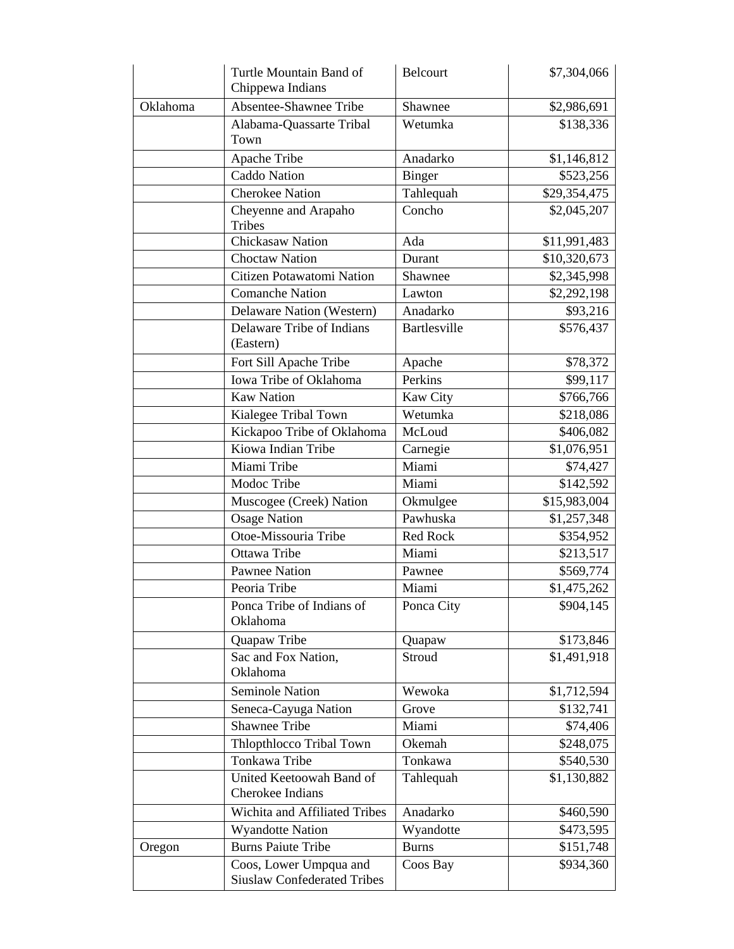|          | Turtle Mountain Band of<br>Chippewa Indians                  | <b>Belcourt</b>     | \$7,304,066  |
|----------|--------------------------------------------------------------|---------------------|--------------|
| Oklahoma | Absentee-Shawnee Tribe                                       | Shawnee             | \$2,986,691  |
|          | Alabama-Quassarte Tribal<br>Town                             | Wetumka             | \$138,336    |
|          | Apache Tribe                                                 | Anadarko            | \$1,146,812  |
|          | Caddo Nation                                                 | <b>Binger</b>       | \$523,256    |
|          | <b>Cherokee Nation</b>                                       | Tahlequah           | \$29,354,475 |
|          | Cheyenne and Arapaho<br><b>Tribes</b>                        | Concho              | \$2,045,207  |
|          | Chickasaw Nation                                             | Ada                 | \$11,991,483 |
|          | <b>Choctaw Nation</b>                                        | Durant              | \$10,320,673 |
|          | Citizen Potawatomi Nation                                    | Shawnee             | \$2,345,998  |
|          | <b>Comanche Nation</b>                                       | Lawton              | \$2,292,198  |
|          | Delaware Nation (Western)                                    | Anadarko            | \$93,216     |
|          | Delaware Tribe of Indians<br>(Eastern)                       | <b>Bartlesville</b> | \$576,437    |
|          | Fort Sill Apache Tribe                                       | Apache              | \$78,372     |
|          | Iowa Tribe of Oklahoma                                       | Perkins             | \$99,117     |
|          | <b>Kaw Nation</b>                                            | Kaw City            | \$766,766    |
|          | Kialegee Tribal Town                                         | Wetumka             | \$218,086    |
|          | Kickapoo Tribe of Oklahoma                                   | McLoud              | \$406,082    |
|          | Kiowa Indian Tribe                                           | Carnegie            | \$1,076,951  |
|          | Miami Tribe                                                  | Miami               | \$74,427     |
|          | Modoc Tribe                                                  | Miami               | \$142,592    |
|          | Muscogee (Creek) Nation                                      | Okmulgee            | \$15,983,004 |
|          | <b>Osage Nation</b>                                          | Pawhuska            | \$1,257,348  |
|          | Otoe-Missouria Tribe                                         | Red Rock            | \$354,952    |
|          | Ottawa Tribe                                                 | Miami               | \$213,517    |
|          | <b>Pawnee Nation</b>                                         | Pawnee              | \$569,774    |
|          | Peoria Tribe                                                 | Miami               | \$1,475,262  |
|          | Ponca Tribe of Indians of<br>Oklahoma                        | Ponca City          | \$904,145    |
|          | Quapaw Tribe                                                 | Quapaw              | \$173,846    |
|          | Sac and Fox Nation,<br>Oklahoma                              | Stroud              | \$1,491,918  |
|          | <b>Seminole Nation</b>                                       | Wewoka              | \$1,712,594  |
|          | Seneca-Cayuga Nation                                         | Grove               | \$132,741    |
|          | <b>Shawnee Tribe</b>                                         | Miami               | \$74,406     |
|          | Thlopthlocco Tribal Town                                     | Okemah              | \$248,075    |
|          | Tonkawa Tribe                                                | Tonkawa             | \$540,530    |
|          | United Keetoowah Band of<br>Cherokee Indians                 | Tahlequah           | \$1,130,882  |
|          | Wichita and Affiliated Tribes                                | Anadarko            | \$460,590    |
|          | <b>Wyandotte Nation</b>                                      | Wyandotte           | \$473,595    |
| Oregon   | <b>Burns Paiute Tribe</b>                                    | <b>Burns</b>        | \$151,748    |
|          | Coos, Lower Umpqua and<br><b>Siuslaw Confederated Tribes</b> | Coos Bay            | \$934,360    |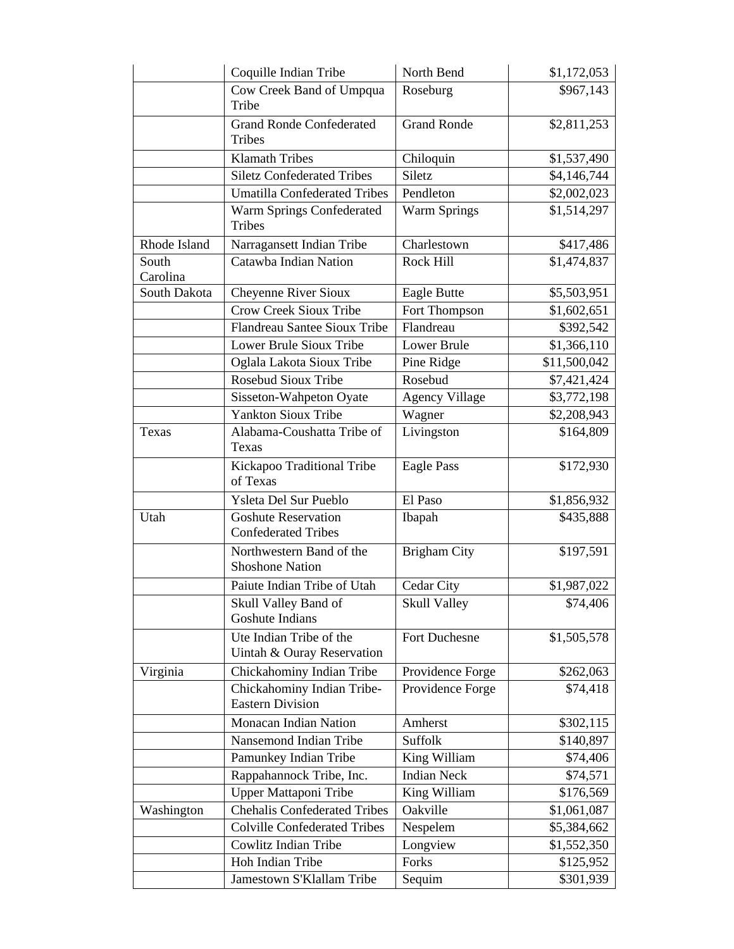| \$967,143<br>Cow Creek Band of Umpqua<br>Roseburg<br>Tribe<br><b>Grand Ronde Confederated</b><br><b>Grand Ronde</b><br>\$2,811,253 |
|------------------------------------------------------------------------------------------------------------------------------------|
|                                                                                                                                    |
|                                                                                                                                    |
|                                                                                                                                    |
| <b>Tribes</b>                                                                                                                      |
| <b>Klamath Tribes</b><br>Chiloquin<br>\$1,537,490                                                                                  |
| <b>Siletz Confederated Tribes</b><br>Siletz<br>\$4,146,744                                                                         |
| Pendleton<br><b>Umatilla Confederated Tribes</b><br>\$2,002,023                                                                    |
| <b>Warm Springs</b><br>Warm Springs Confederated<br>\$1,514,297<br><b>Tribes</b>                                                   |
| Rhode Island<br>Charlestown<br>Narragansett Indian Tribe<br>\$417,486                                                              |
| Catawba Indian Nation<br>Rock Hill<br>South<br>\$1,474,837                                                                         |
| Carolina                                                                                                                           |
| South Dakota<br><b>Cheyenne River Sioux</b><br>Eagle Butte<br>\$5,503,951                                                          |
| <b>Crow Creek Sioux Tribe</b><br>Fort Thompson<br>\$1,602,651                                                                      |
| Flandreau Santee Sioux Tribe<br>Flandreau<br>\$392,542                                                                             |
| Lower Brule Sioux Tribe<br><b>Lower Brule</b><br>\$1,366,110                                                                       |
| Oglala Lakota Sioux Tribe<br>Pine Ridge<br>\$11,500,042                                                                            |
| Rosebud Sioux Tribe<br>Rosebud<br>\$7,421,424                                                                                      |
| Sisseton-Wahpeton Oyate<br><b>Agency Village</b><br>\$3,772,198                                                                    |
| <b>Yankton Sioux Tribe</b><br>Wagner<br>\$2,208,943                                                                                |
| Alabama-Coushatta Tribe of<br>Livingston<br>\$164,809<br>Texas                                                                     |
| Texas                                                                                                                              |
| Kickapoo Traditional Tribe<br><b>Eagle Pass</b><br>\$172,930                                                                       |
| of Texas                                                                                                                           |
| Ysleta Del Sur Pueblo<br>El Paso<br>\$1,856,932                                                                                    |
| <b>Goshute Reservation</b><br>Utah<br>\$435,888<br>Ibapah<br><b>Confederated Tribes</b>                                            |
| Northwestern Band of the<br><b>Brigham City</b><br>\$197,591<br><b>Shoshone Nation</b>                                             |
| Paiute Indian Tribe of Utah<br>Cedar City<br>\$1,987,022                                                                           |
| <b>Skull Valley</b><br>\$74,406<br>Skull Valley Band of                                                                            |
| Goshute Indians                                                                                                                    |
| Ute Indian Tribe of the<br>\$1,505,578<br>Fort Duchesne<br>Uintah & Ouray Reservation                                              |
| Virginia<br>Chickahominy Indian Tribe<br>Providence Forge<br>\$262,063                                                             |
| Chickahominy Indian Tribe-<br>\$74,418<br>Providence Forge<br><b>Eastern Division</b>                                              |
| Monacan Indian Nation<br>\$302,115<br>Amherst                                                                                      |
| Nansemond Indian Tribe<br>Suffolk<br>\$140,897                                                                                     |
| Pamunkey Indian Tribe<br>King William<br>\$74,406                                                                                  |
| Rappahannock Tribe, Inc.<br><b>Indian Neck</b><br>\$74,571                                                                         |
| <b>Upper Mattaponi Tribe</b><br>King William<br>\$176,569                                                                          |
| <b>Chehalis Confederated Tribes</b><br>Oakville<br>\$1,061,087<br>Washington                                                       |
| <b>Colville Confederated Tribes</b><br>Nespelem<br>\$5,384,662                                                                     |
| <b>Cowlitz Indian Tribe</b><br>Longview<br>\$1,552,350                                                                             |
| Hoh Indian Tribe<br>Forks<br>\$125,952                                                                                             |
| Jamestown S'Klallam Tribe<br>\$301,939<br>Sequim                                                                                   |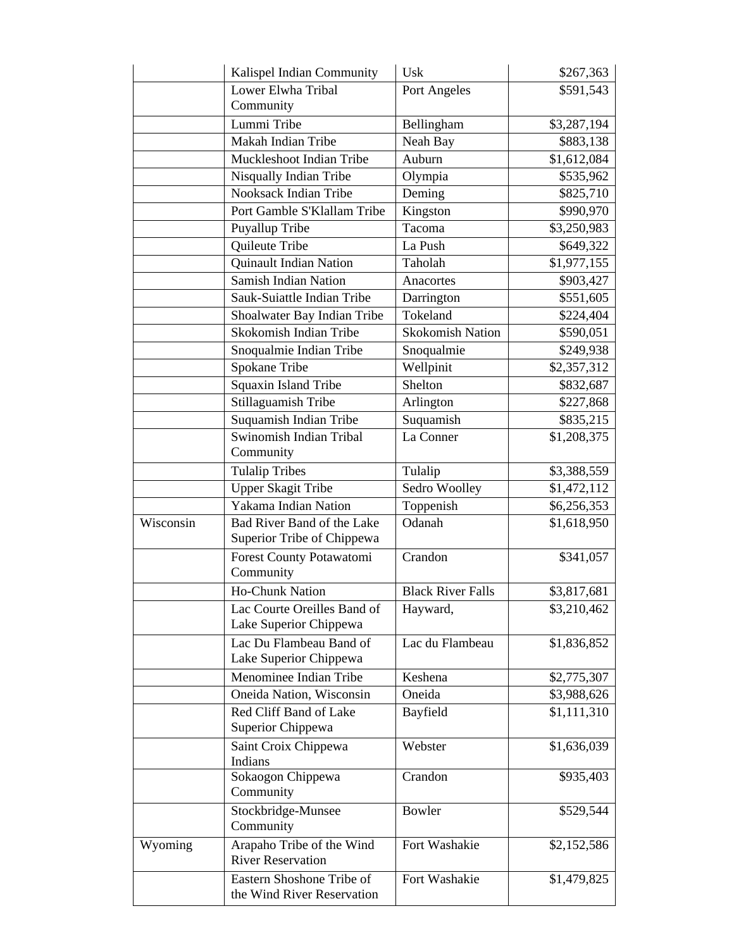|                        | Kalispel Indian Community      | Usk                      | \$267,363   |
|------------------------|--------------------------------|--------------------------|-------------|
|                        | Lower Elwha Tribal             | Port Angeles             | \$591,543   |
|                        | Community                      |                          |             |
|                        | Lummi Tribe                    | Bellingham               | \$3,287,194 |
|                        | Makah Indian Tribe             | Neah Bay                 | \$883,138   |
|                        | Muckleshoot Indian Tribe       | Auburn                   | \$1,612,084 |
| Nisqually Indian Tribe |                                | Olympia                  | \$535,962   |
|                        | Nooksack Indian Tribe          | Deming                   | \$825,710   |
|                        | Port Gamble S'Klallam Tribe    | Kingston                 | \$990,970   |
|                        | Puyallup Tribe                 | Tacoma                   | \$3,250,983 |
|                        | Quileute Tribe                 | La Push                  | \$649,322   |
|                        | Quinault Indian Nation         | Taholah                  | \$1,977,155 |
|                        | <b>Samish Indian Nation</b>    | Anacortes                | \$903,427   |
|                        | Sauk-Suiattle Indian Tribe     | Darrington               | \$551,605   |
|                        | Shoalwater Bay Indian Tribe    | Tokeland                 | \$224,404   |
|                        | Skokomish Indian Tribe         | <b>Skokomish Nation</b>  | \$590,051   |
|                        | Snoqualmie Indian Tribe        | Snoqualmie               | \$249,938   |
|                        | Spokane Tribe                  | Wellpinit                | \$2,357,312 |
|                        | Squaxin Island Tribe           | Shelton                  | \$832,687   |
|                        | Stillaguamish Tribe            | Arlington                | \$227,868   |
|                        | Suquamish Indian Tribe         | Suquamish                | \$835,215   |
|                        | Swinomish Indian Tribal        | La Conner                | \$1,208,375 |
|                        | Community                      |                          |             |
|                        | <b>Tulalip Tribes</b>          | Tulalip                  | \$3,388,559 |
|                        | <b>Upper Skagit Tribe</b>      | Sedro Woolley            | \$1,472,112 |
|                        | Yakama Indian Nation           | Toppenish                | \$6,256,353 |
| Wisconsin              | Bad River Band of the Lake     | Odanah                   | \$1,618,950 |
|                        | Superior Tribe of Chippewa     |                          |             |
|                        | Forest County Potawatomi       | Crandon                  | \$341,057   |
|                        | Community                      |                          |             |
|                        | Ho-Chunk Nation                | <b>Black River Falls</b> | \$3,817,681 |
|                        | Lac Courte Oreilles Band of    | Hayward,                 | \$3,210,462 |
|                        | Lake Superior Chippewa         |                          |             |
|                        | Lac Du Flambeau Band of        | Lac du Flambeau          | \$1,836,852 |
|                        | Lake Superior Chippewa         |                          |             |
|                        | Menominee Indian Tribe         | Keshena                  | \$2,775,307 |
|                        | Oneida Nation, Wisconsin       | Oneida                   | \$3,988,626 |
|                        | Red Cliff Band of Lake         | Bayfield                 | \$1,111,310 |
|                        | Superior Chippewa              |                          |             |
|                        | Saint Croix Chippewa           | Webster                  | \$1,636,039 |
|                        | Indians                        |                          |             |
|                        | Sokaogon Chippewa<br>Community | Crandon                  | \$935,403   |
|                        | Stockbridge-Munsee             | Bowler                   | \$529,544   |
|                        | Community                      |                          |             |
| Wyoming                | Arapaho Tribe of the Wind      | Fort Washakie            | \$2,152,586 |
|                        | <b>River Reservation</b>       |                          |             |
|                        | Eastern Shoshone Tribe of      | Fort Washakie            | \$1,479,825 |
|                        | the Wind River Reservation     |                          |             |